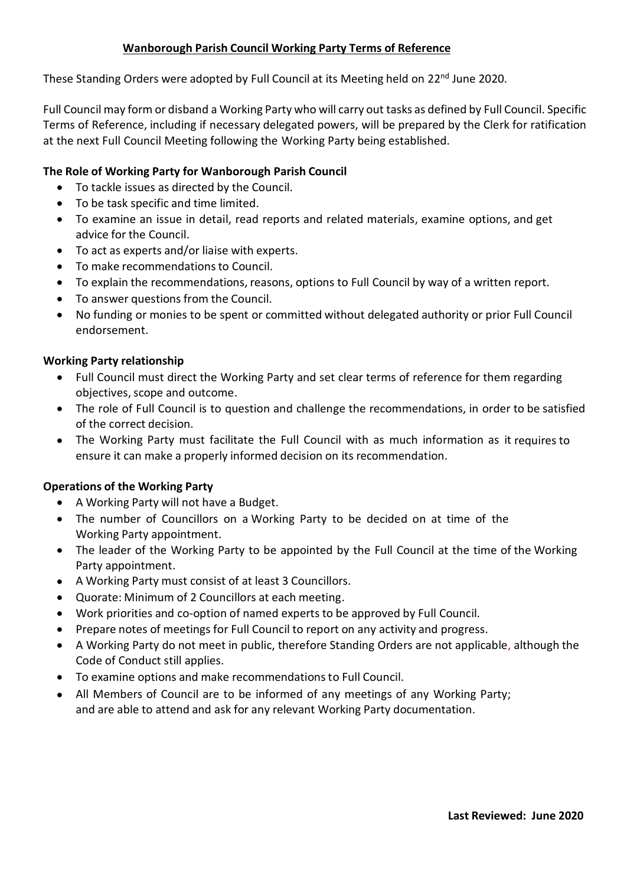## **Wanborough Parish Council Working Party Terms of Reference**

These Standing Orders were adopted by Full Council at its Meeting held on 22<sup>nd</sup> June 2020.

Full Council may form or disband a Working Party who will carry out tasks as defined by Full Council. Specific Terms of Reference, including if necessary delegated powers, will be prepared by the Clerk for ratification at the next Full Council Meeting following the Working Party being established.

### **The Role of Working Party for Wanborough Parish Council**

- To tackle issues as directed by the Council.
- To be task specific and time limited.
- To examine an issue in detail, read reports and related materials, examine options, and get advice for the Council.
- To act as experts and/or liaise with experts.
- To make recommendations to Council.
- To explain the recommendations, reasons, options to Full Council by way of a written report.
- To answer questions from the Council.
- No funding or monies to be spent or committed without delegated authority or prior Full Council endorsement.

#### **Working Party relationship**

- Full Council must direct the Working Party and set clear terms of reference for them regarding objectives, scope and outcome.
- The role of Full Council is to question and challenge the recommendations, in order to be satisfied of the correct decision.
- The Working Party must facilitate the Full Council with as much information as it requires to ensure it can make a properly informed decision on its recommendation.

#### **Operations of the Working Party**

- A Working Party will not have a Budget.
- The number of Councillors on a Working Party to be decided on at time of the Working Party appointment.
- The leader of the Working Party to be appointed by the Full Council at the time of the Working Party appointment.
- A Working Party must consist of at least 3 Councillors.
- Quorate: Minimum of 2 Councillors at each meeting.
- Work priorities and co-option of named experts to be approved by Full Council.
- Prepare notes of meetings for Full Council to report on any activity and progress.
- A Working Party do not meet in public, therefore Standing Orders are not applicable, although the Code of Conduct still applies.
- To examine options and make recommendations to Full Council.
- All Members of Council are to be informed of any meetings of any Working Party; and are able to attend and ask for any relevant Working Party documentation.